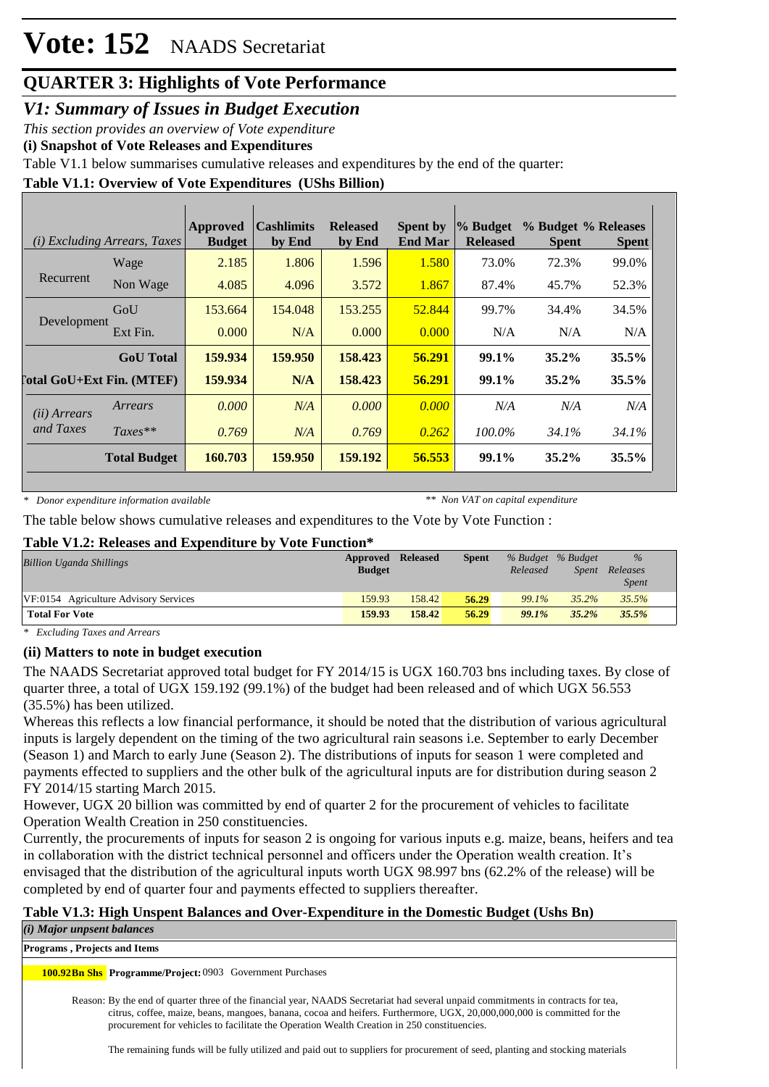# **Vote: 152** NAADS Secretariat

### **QUARTER 3: Highlights of Vote Performance**

*V1: Summary of Issues in Budget Execution*

*This section provides an overview of Vote expenditure* 

**(i) Snapshot of Vote Releases and Expenditures**

Table V1.1 below summarises cumulative releases and expenditures by the end of the quarter:

#### **Table V1.1: Overview of Vote Expenditures (UShs Billion)**

|                       | ( <i>i</i> ) Excluding Arrears, Taxes | Approved<br><b>Budget</b> | <b>Cashlimits</b><br>by End | <b>Released</b><br>by End | <b>Spent by</b><br><b>End Mar</b> | % Budget<br><b>Released</b> | % Budget % Releases<br><b>Spent</b> | <b>Spent</b> |
|-----------------------|---------------------------------------|---------------------------|-----------------------------|---------------------------|-----------------------------------|-----------------------------|-------------------------------------|--------------|
|                       | Wage                                  | 2.185                     | 1.806                       | 1.596                     | 1.580                             | 73.0%                       | 72.3%                               | 99.0%        |
| Recurrent             | Non Wage                              | 4.085                     | 4.096                       | 3.572                     | 1.867                             | 87.4%                       | 45.7%                               | 52.3%        |
|                       | GoU                                   | 153.664                   | 154,048                     | 153.255                   | 52.844                            | 99.7%                       | 34.4%                               | 34.5%        |
| Development           | Ext Fin.                              | 0.000                     | N/A                         | 0.000                     | 0.000                             | N/A                         | N/A                                 | N/A          |
|                       | <b>GoU</b> Total                      | 159.934                   | 159.950                     | 158.423                   | 56.291                            | 99.1%                       | $35.2\%$                            | 35.5%        |
|                       | <b>Total GoU+Ext Fin. (MTEF)</b>      | 159.934                   | N/A                         | 158.423                   | 56.291                            | 99.1%                       | 35.2%                               | 35.5%        |
| ( <i>ii</i> ) Arrears | Arrears                               | 0.000                     | N/A                         | 0.000                     | 0.000                             | N/A                         | N/A                                 | N/A          |
| and Taxes             | $Taxes**$                             | 0.769                     | N/A                         | 0.769                     | 0.262                             | 100.0%                      | 34.1%                               | 34.1%        |
|                       | <b>Total Budget</b>                   | 160.703                   | 159.950                     | 159.192                   | 56.553                            | $99.1\%$                    | 35.2%                               | 35.5%        |

*\* Donor expenditure information available*

*\*\* Non VAT on capital expenditure*

The table below shows cumulative releases and expenditures to the Vote by Vote Function :

#### **Table V1.2: Releases and Expenditure by Vote Function\***

| Billion Uganda Shillings              | Approved<br><b>Budget</b> | <b>Released</b> | <b>Spent</b> | Released | % Budget % Budget<br>Spent | $\%$<br>Releases<br>Spent |
|---------------------------------------|---------------------------|-----------------|--------------|----------|----------------------------|---------------------------|
| VF:0154 Agriculture Advisory Services | 159.93                    | 158.42          | 56.29        | 99.1%    | 35.2%                      | 35.5%                     |
| <b>Total For Vote</b>                 | 159.93                    | 158.42          | 56.29        | 99.1%    | $35.2\%$                   | 35.5%                     |

*\* Excluding Taxes and Arrears*

#### **(ii) Matters to note in budget execution**

The NAADS Secretariat approved total budget for FY 2014/15 is UGX 160.703 bns including taxes. By close of quarter three, a total of UGX 159.192 (99.1%) of the budget had been released and of which UGX 56.553 (35.5%) has been utilized.

Whereas this reflects a low financial performance, it should be noted that the distribution of various agricultural inputs is largely dependent on the timing of the two agricultural rain seasons i.e. September to early December (Season 1) and March to early June (Season 2). The distributions of inputs for season 1 were completed and payments effected to suppliers and the other bulk of the agricultural inputs are for distribution during season 2 FY 2014/15 starting March 2015.

However, UGX 20 billion was committed by end of quarter 2 for the procurement of vehicles to facilitate Operation Wealth Creation in 250 constituencies.

Currently, the procurements of inputs for season 2 is ongoing for various inputs e.g. maize, beans, heifers and tea in collaboration with the district technical personnel and officers under the Operation wealth creation. It's envisaged that the distribution of the agricultural inputs worth UGX 98.997 bns (62.2% of the release) will be completed by end of quarter four and payments effected to suppliers thereafter.

#### **Table V1.3: High Unspent Balances and Over-Expenditure in the Domestic Budget (Ushs Bn)**

*(i) Major unpsent balances*

**Programs , Projects and Items**

100.92Bn Shs Programme/Project: 0903 Government Purchases

Reason: By the end of quarter three of the financial year, NAADS Secretariat had several unpaid commitments in contracts for tea, citrus, coffee, maize, beans, mangoes, banana, cocoa and heifers. Furthermore, UGX, 20,000,000,000 is committed for the procurement for vehicles to facilitate the Operation Wealth Creation in 250 constituencies.

The remaining funds will be fully utilized and paid out to suppliers for procurement of seed, planting and stocking materials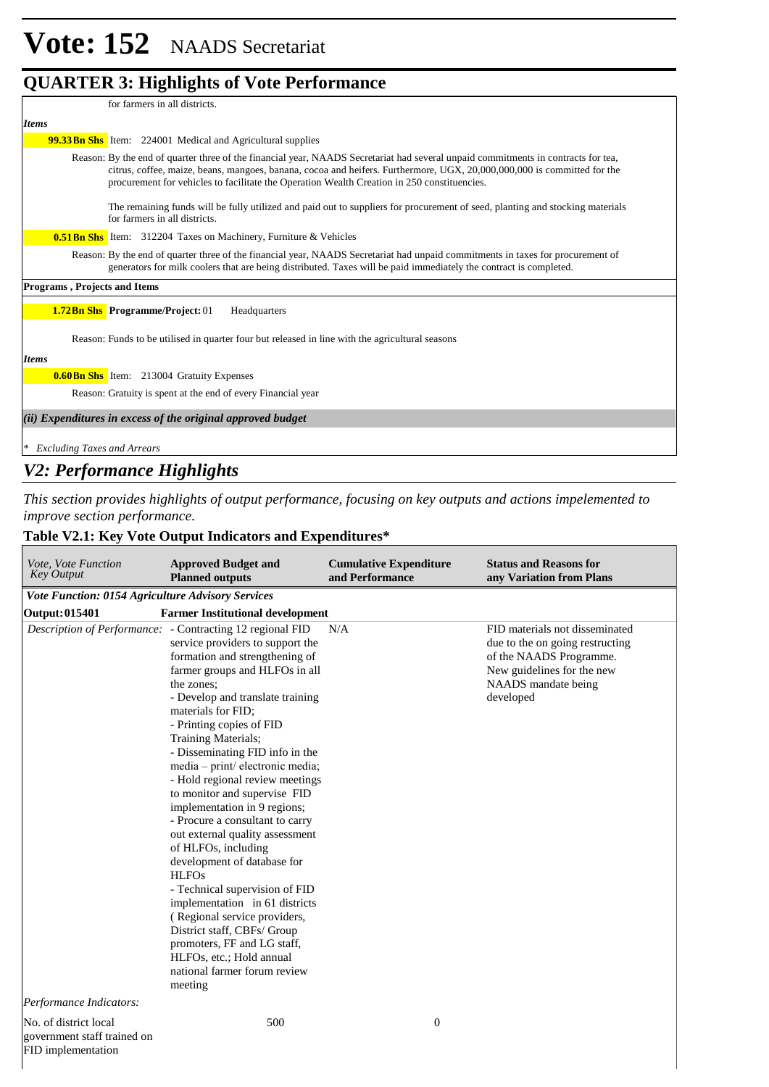|                                     | o                                                                                                                                                                                                                                                                                                                                                           |
|-------------------------------------|-------------------------------------------------------------------------------------------------------------------------------------------------------------------------------------------------------------------------------------------------------------------------------------------------------------------------------------------------------------|
|                                     | for farmers in all districts.                                                                                                                                                                                                                                                                                                                               |
| <b>Items</b>                        |                                                                                                                                                                                                                                                                                                                                                             |
|                                     | <b>99.33Bn Shs</b> Item: 224001 Medical and Agricultural supplies                                                                                                                                                                                                                                                                                           |
|                                     | Reason: By the end of quarter three of the financial year, NAADS Secretariat had several unpaid commitments in contracts for tea,<br>citrus, coffee, maize, beans, mangoes, banana, cocoa and heifers. Furthermore, UGX, 20,000,000,000 is committed for the<br>procurement for vehicles to facilitate the Operation Wealth Creation in 250 constituencies. |
|                                     | The remaining funds will be fully utilized and paid out to suppliers for procurement of seed, planting and stocking materials<br>for farmers in all districts.                                                                                                                                                                                              |
|                                     | <b>0.51 Bn Shs</b> Item: 312204 Taxes on Machinery, Furniture & Vehicles                                                                                                                                                                                                                                                                                    |
|                                     | Reason: By the end of quarter three of the financial year, NAADS Secretariat had unpaid commitments in taxes for procurement of<br>generators for milk coolers that are being distributed. Taxes will be paid immediately the contract is completed.                                                                                                        |
| <b>Programs, Projects and Items</b> |                                                                                                                                                                                                                                                                                                                                                             |
|                                     | <b>1.72Bn Shs</b> Programme/Project: 01<br>Headquarters                                                                                                                                                                                                                                                                                                     |
|                                     | Reason: Funds to be utilised in quarter four but released in line with the agricultural seasons                                                                                                                                                                                                                                                             |
| <b>Items</b>                        |                                                                                                                                                                                                                                                                                                                                                             |
|                                     | <b>0.60 Bn Shs</b> Item: 213004 Gratuity Expenses                                                                                                                                                                                                                                                                                                           |
|                                     | Reason: Gratuity is spent at the end of every Financial year                                                                                                                                                                                                                                                                                                |
|                                     | (ii) Expenditures in excess of the original approved budget                                                                                                                                                                                                                                                                                                 |
| * Excluding Taxes and Arrears       |                                                                                                                                                                                                                                                                                                                                                             |

### *V2: Performance Highlights*

*This section provides highlights of output performance, focusing on key outputs and actions impelemented to improve section performance.*

#### **Table V2.1: Key Vote Output Indicators and Expenditures\***

| Vote, Vote Function<br><b>Key Output</b>                                   | <b>Approved Budget and</b><br><b>Planned outputs</b>                                                                                                                                                                                                                                                                                                                                                                                                                                                                                                                                                                                                                                                                                                                                                                                                        | <b>Cumulative Expenditure</b><br>and Performance | <b>Status and Reasons for</b><br>any Variation from Plans                                                                                                      |
|----------------------------------------------------------------------------|-------------------------------------------------------------------------------------------------------------------------------------------------------------------------------------------------------------------------------------------------------------------------------------------------------------------------------------------------------------------------------------------------------------------------------------------------------------------------------------------------------------------------------------------------------------------------------------------------------------------------------------------------------------------------------------------------------------------------------------------------------------------------------------------------------------------------------------------------------------|--------------------------------------------------|----------------------------------------------------------------------------------------------------------------------------------------------------------------|
| Vote Function: 0154 Agriculture Advisory Services                          |                                                                                                                                                                                                                                                                                                                                                                                                                                                                                                                                                                                                                                                                                                                                                                                                                                                             |                                                  |                                                                                                                                                                |
| <b>Output: 015401</b>                                                      | <b>Farmer Institutional development</b>                                                                                                                                                                                                                                                                                                                                                                                                                                                                                                                                                                                                                                                                                                                                                                                                                     |                                                  |                                                                                                                                                                |
|                                                                            | Description of Performance: - Contracting 12 regional FID<br>service providers to support the<br>formation and strengthening of<br>farmer groups and HLFOs in all<br>the zones:<br>- Develop and translate training<br>materials for FID;<br>- Printing copies of FID<br>Training Materials;<br>- Disseminating FID info in the<br>media - print/ electronic media;<br>- Hold regional review meetings<br>to monitor and supervise FID<br>implementation in 9 regions;<br>- Procure a consultant to carry<br>out external quality assessment<br>of HLFOs, including<br>development of database for<br><b>HLFOs</b><br>- Technical supervision of FID<br>implementation in 61 districts<br>(Regional service providers,<br>District staff, CBFs/ Group<br>promoters, FF and LG staff,<br>HLFOs, etc.; Hold annual<br>national farmer forum review<br>meeting | N/A                                              | FID materials not disseminated<br>due to the on going restructing<br>of the NAADS Programme.<br>New guidelines for the new<br>NAADS mandate being<br>developed |
| Performance Indicators:                                                    |                                                                                                                                                                                                                                                                                                                                                                                                                                                                                                                                                                                                                                                                                                                                                                                                                                                             |                                                  |                                                                                                                                                                |
| No. of district local<br>government staff trained on<br>FID implementation | 500                                                                                                                                                                                                                                                                                                                                                                                                                                                                                                                                                                                                                                                                                                                                                                                                                                                         | $\boldsymbol{0}$                                 |                                                                                                                                                                |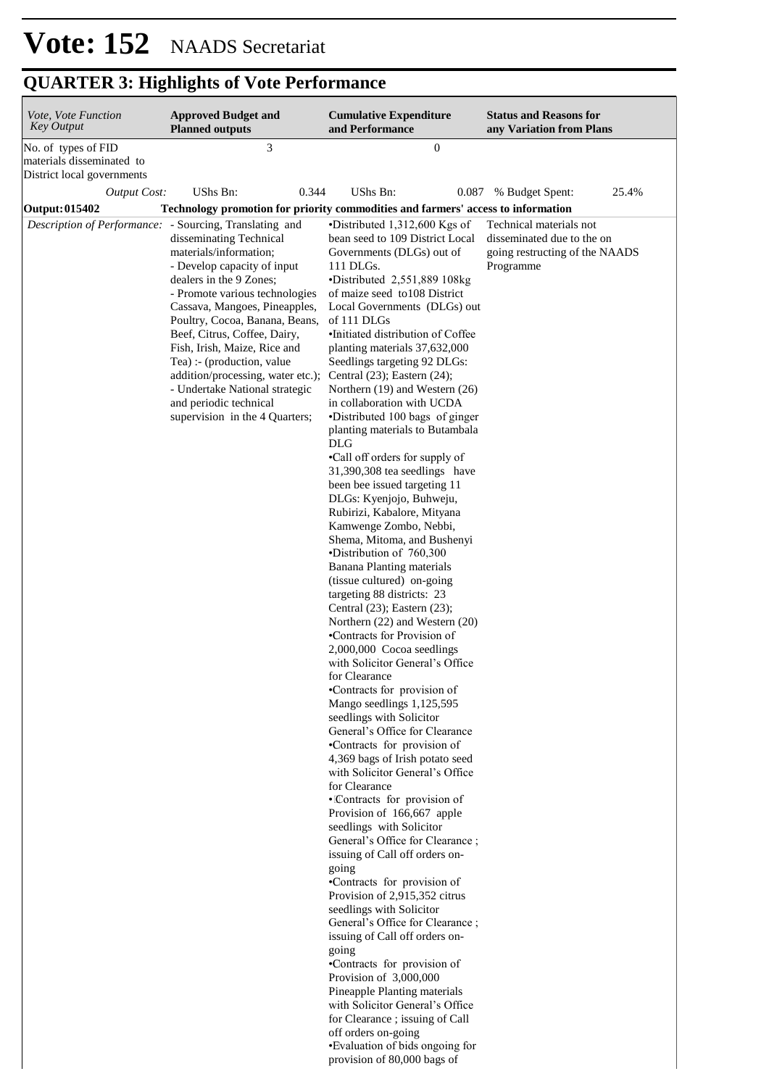| Vote, Vote Function<br><b>Key Output</b>         | <b>Approved Budget and</b><br><b>Planned outputs</b>                                                                                                                                                                                                                                                                                                                                                                                                                                                                                                                                             | <b>Cumulative Expenditure</b><br>and Performance                                                                                                                                                                                                                                                                                                                                                                                                                                                                                                                                                                                                                                                                                                                                                                                                                                                                                                                                                                                                                                                                                                                                                                                                                                                                                                                                                                                                                                                                                                                                                                                                                                                                                                                                                                                                                                                                               | <b>Status and Reasons for</b><br>any Variation from Plans                                            |
|--------------------------------------------------|--------------------------------------------------------------------------------------------------------------------------------------------------------------------------------------------------------------------------------------------------------------------------------------------------------------------------------------------------------------------------------------------------------------------------------------------------------------------------------------------------------------------------------------------------------------------------------------------------|--------------------------------------------------------------------------------------------------------------------------------------------------------------------------------------------------------------------------------------------------------------------------------------------------------------------------------------------------------------------------------------------------------------------------------------------------------------------------------------------------------------------------------------------------------------------------------------------------------------------------------------------------------------------------------------------------------------------------------------------------------------------------------------------------------------------------------------------------------------------------------------------------------------------------------------------------------------------------------------------------------------------------------------------------------------------------------------------------------------------------------------------------------------------------------------------------------------------------------------------------------------------------------------------------------------------------------------------------------------------------------------------------------------------------------------------------------------------------------------------------------------------------------------------------------------------------------------------------------------------------------------------------------------------------------------------------------------------------------------------------------------------------------------------------------------------------------------------------------------------------------------------------------------------------------|------------------------------------------------------------------------------------------------------|
| No. of types of FID<br>materials disseminated to | 3                                                                                                                                                                                                                                                                                                                                                                                                                                                                                                                                                                                                | $\boldsymbol{0}$                                                                                                                                                                                                                                                                                                                                                                                                                                                                                                                                                                                                                                                                                                                                                                                                                                                                                                                                                                                                                                                                                                                                                                                                                                                                                                                                                                                                                                                                                                                                                                                                                                                                                                                                                                                                                                                                                                               |                                                                                                      |
| District local governments                       |                                                                                                                                                                                                                                                                                                                                                                                                                                                                                                                                                                                                  |                                                                                                                                                                                                                                                                                                                                                                                                                                                                                                                                                                                                                                                                                                                                                                                                                                                                                                                                                                                                                                                                                                                                                                                                                                                                                                                                                                                                                                                                                                                                                                                                                                                                                                                                                                                                                                                                                                                                |                                                                                                      |
| <b>Output Cost:</b>                              | UShs Bn:<br>0.344                                                                                                                                                                                                                                                                                                                                                                                                                                                                                                                                                                                | UShs Bn:<br>0.087                                                                                                                                                                                                                                                                                                                                                                                                                                                                                                                                                                                                                                                                                                                                                                                                                                                                                                                                                                                                                                                                                                                                                                                                                                                                                                                                                                                                                                                                                                                                                                                                                                                                                                                                                                                                                                                                                                              | % Budget Spent:<br>25.4%                                                                             |
| <b>Output: 015402</b>                            | Technology promotion for priority commodities and farmers' access to information<br>Description of Performance: - Sourcing, Translating and<br>disseminating Technical<br>materials/information;<br>- Develop capacity of input<br>dealers in the 9 Zones;<br>- Promote various technologies<br>Cassava, Mangoes, Pineapples,<br>Poultry, Cocoa, Banana, Beans,<br>Beef, Citrus, Coffee, Dairy,<br>Fish, Irish, Maize, Rice and<br>Tea) :- (production, value<br>addition/processing, water etc.);<br>- Undertake National strategic<br>and periodic technical<br>supervision in the 4 Quarters; | •Distributed 1,312,600 Kgs of<br>bean seed to 109 District Local<br>Governments (DLGs) out of<br>111 DLGs.<br>•Distributed 2,551,889 108kg<br>of maize seed to 108 District<br>Local Governments (DLGs) out<br>of 111 DLGs<br>•Initiated distribution of Coffee<br>planting materials 37,632,000<br>Seedlings targeting 92 DLGs:<br>Central $(23)$ ; Eastern $(24)$ ;<br>Northern (19) and Western (26)<br>in collaboration with UCDA<br>•Distributed 100 bags of ginger<br>planting materials to Butambala<br><b>DLG</b><br>•Call off orders for supply of<br>31,390,308 tea seedlings have<br>been bee issued targeting 11<br>DLGs: Kyenjojo, Buhweju,<br>Rubirizi, Kabalore, Mityana<br>Kamwenge Zombo, Nebbi,<br>Shema, Mitoma, and Bushenyi<br>•Distribution of 760,300<br><b>Banana Planting materials</b><br>(tissue cultured) on-going<br>targeting 88 districts: 23<br>Central $(23)$ ; Eastern $(23)$ ;<br>Northern (22) and Western (20)<br>•Contracts for Provision of<br>2,000,000 Cocoa seedlings<br>with Solicitor General's Office<br>for Clearance<br>•Contracts for provision of<br>Mango seedlings 1,125,595<br>seedlings with Solicitor<br>General's Office for Clearance<br>•Contracts for provision of<br>4,369 bags of Irish potato seed<br>with Solicitor General's Office<br>for Clearance<br>·Contracts for provision of<br>Provision of 166,667 apple<br>seedlings with Solicitor<br>General's Office for Clearance;<br>issuing of Call off orders on-<br>going<br>•Contracts for provision of<br>Provision of 2,915,352 citrus<br>seedlings with Solicitor<br>General's Office for Clearance;<br>issuing of Call off orders on-<br>going<br>•Contracts for provision of<br>Provision of $3,000,000$<br>Pineapple Planting materials<br>with Solicitor General's Office<br>for Clearance ; issuing of Call<br>off orders on-going<br>•Evaluation of bids ongoing for<br>provision of 80,000 bags of | Technical materials not<br>disseminated due to the on<br>going restructing of the NAADS<br>Programme |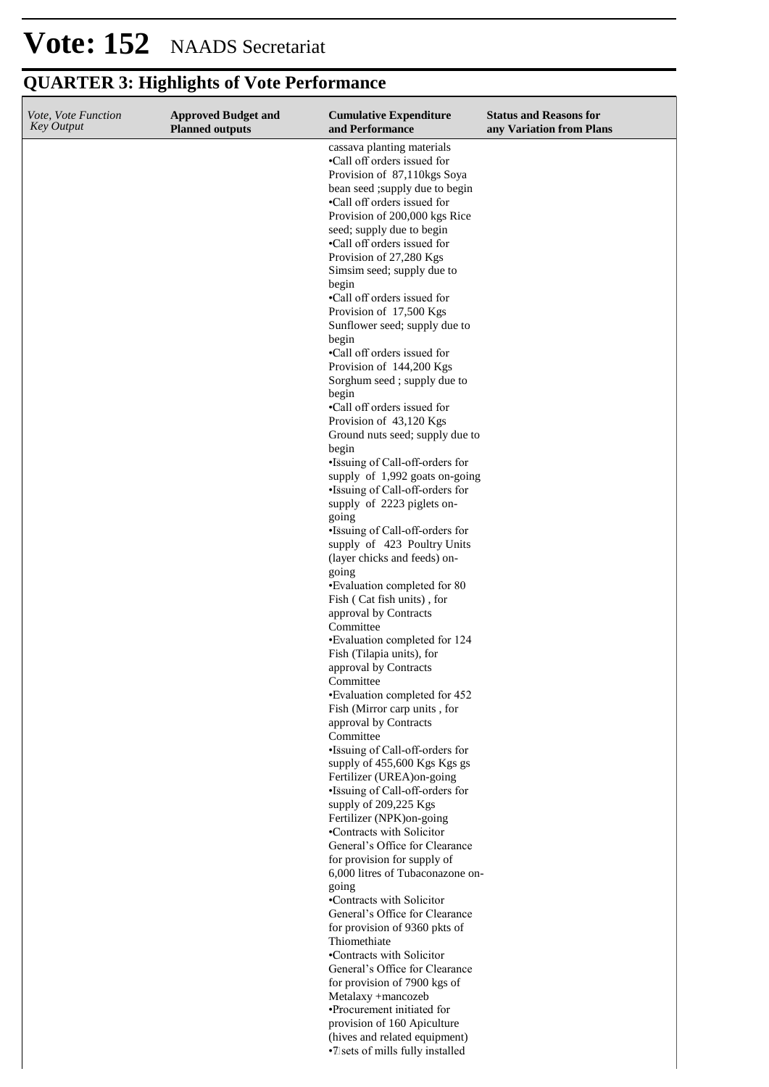| Vote, Vote Function<br><b>Key Output</b> | <b>Approved Budget and</b><br><b>Planned outputs</b> | <b>Cumulative Expenditure</b><br>and Performance                  | <b>Status and Reasons for</b><br>any Variation from Plans |
|------------------------------------------|------------------------------------------------------|-------------------------------------------------------------------|-----------------------------------------------------------|
|                                          |                                                      | cassava planting materials                                        |                                                           |
|                                          |                                                      | •Call off orders issued for<br>Provision of 87,110kgs Soya        |                                                           |
|                                          |                                                      | bean seed ; supply due to begin                                   |                                                           |
|                                          |                                                      | •Call off orders issued for                                       |                                                           |
|                                          |                                                      | Provision of 200,000 kgs Rice<br>seed; supply due to begin        |                                                           |
|                                          |                                                      | •Call off orders issued for                                       |                                                           |
|                                          |                                                      | Provision of 27,280 Kgs                                           |                                                           |
|                                          |                                                      | Simsim seed; supply due to<br>begin                               |                                                           |
|                                          |                                                      | •Call off orders issued for                                       |                                                           |
|                                          |                                                      | Provision of 17,500 Kgs                                           |                                                           |
|                                          |                                                      | Sunflower seed; supply due to<br>begin                            |                                                           |
|                                          |                                                      | •Call off orders issued for                                       |                                                           |
|                                          |                                                      | Provision of 144,200 Kgs<br>Sorghum seed; supply due to           |                                                           |
|                                          |                                                      | begin                                                             |                                                           |
|                                          |                                                      | •Call off orders issued for                                       |                                                           |
|                                          |                                                      | Provision of 43,120 Kgs<br>Ground nuts seed; supply due to        |                                                           |
|                                          |                                                      | begin                                                             |                                                           |
|                                          |                                                      | •Issuing of Call-off-orders for                                   |                                                           |
|                                          |                                                      | supply of 1,992 goats on-going<br>•Issuing of Call-off-orders for |                                                           |
|                                          |                                                      | supply of 2223 piglets on-                                        |                                                           |
|                                          |                                                      | going<br>•Issuing of Call-off-orders for                          |                                                           |
|                                          |                                                      | supply of 423 Poultry Units                                       |                                                           |
|                                          |                                                      | (layer chicks and feeds) on-                                      |                                                           |
|                                          |                                                      | going<br>•Evaluation completed for 80                             |                                                           |
|                                          |                                                      | Fish (Cat fish units), for                                        |                                                           |
|                                          |                                                      | approval by Contracts<br>Committee                                |                                                           |
|                                          |                                                      | •Evaluation completed for 124                                     |                                                           |
|                                          |                                                      | Fish (Tilapia units), for                                         |                                                           |
|                                          |                                                      | approval by Contracts<br>Committee                                |                                                           |
|                                          |                                                      | •Evaluation completed for 452                                     |                                                           |
|                                          |                                                      | Fish (Mirror carp units, for<br>approval by Contracts             |                                                           |
|                                          |                                                      | Committee                                                         |                                                           |
|                                          |                                                      | •Issuing of Call-off-orders for                                   |                                                           |
|                                          |                                                      | supply of 455,600 Kgs Kgs gs<br>Fertilizer (UREA) on-going        |                                                           |
|                                          |                                                      | ·Issuing of Call-off-orders for                                   |                                                           |
|                                          |                                                      | supply of 209,225 Kgs<br>Fertilizer (NPK)on-going                 |                                                           |
|                                          |                                                      | •Contracts with Solicitor                                         |                                                           |
|                                          |                                                      | General's Office for Clearance                                    |                                                           |
|                                          |                                                      | for provision for supply of<br>6,000 litres of Tubaconazone on-   |                                                           |
|                                          |                                                      | going                                                             |                                                           |
|                                          |                                                      | •Contracts with Solicitor<br>General's Office for Clearance       |                                                           |
|                                          |                                                      | for provision of 9360 pkts of                                     |                                                           |
|                                          |                                                      | Thiomethiate                                                      |                                                           |
|                                          |                                                      | •Contracts with Solicitor<br>General's Office for Clearance       |                                                           |
|                                          |                                                      | for provision of 7900 kgs of                                      |                                                           |
|                                          |                                                      | Metalaxy +mancozeb<br>•Procurement initiated for                  |                                                           |
|                                          |                                                      | provision of 160 Apiculture                                       |                                                           |
|                                          |                                                      | (hives and related equipment)                                     |                                                           |
|                                          |                                                      | ·Zsets of mills fully installed                                   |                                                           |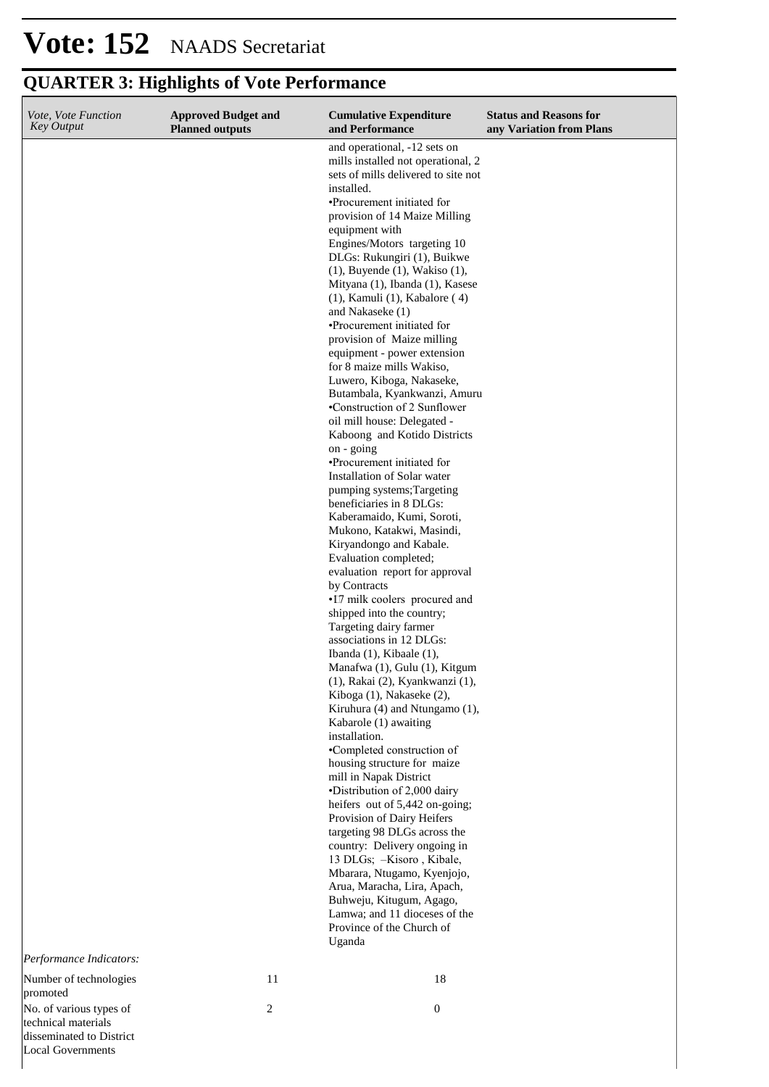Local Governments

| Vote, Vote Function<br><b>Key Output</b>                                   | <b>Approved Budget and</b><br><b>Planned outputs</b> | <b>Cumulative Expenditure</b><br>and Performance                                                                                                                                                                                                                                                                                                                                                                                                                                                                                                                                                                                                                                                                                                                                                                                                                                                                                                                                                                                                                                                                                                                                                                                                                  | <b>Status and Reasons for</b><br>any Variation from Plans |
|----------------------------------------------------------------------------|------------------------------------------------------|-------------------------------------------------------------------------------------------------------------------------------------------------------------------------------------------------------------------------------------------------------------------------------------------------------------------------------------------------------------------------------------------------------------------------------------------------------------------------------------------------------------------------------------------------------------------------------------------------------------------------------------------------------------------------------------------------------------------------------------------------------------------------------------------------------------------------------------------------------------------------------------------------------------------------------------------------------------------------------------------------------------------------------------------------------------------------------------------------------------------------------------------------------------------------------------------------------------------------------------------------------------------|-----------------------------------------------------------|
|                                                                            |                                                      | and operational, -12 sets on<br>mills installed not operational, 2<br>sets of mills delivered to site not<br>installed.<br>•Procurement initiated for<br>provision of 14 Maize Milling<br>equipment with<br>Engines/Motors targeting 10<br>DLGs: Rukungiri (1), Buikwe<br>$(1)$ , Buyende $(1)$ , Wakiso $(1)$ ,<br>Mityana (1), Ibanda (1), Kasese<br>$(1)$ , Kamuli $(1)$ , Kabalore $(4)$<br>and Nakaseke (1)<br>•Procurement initiated for<br>provision of Maize milling<br>equipment - power extension<br>for 8 maize mills Wakiso,<br>Luwero, Kiboga, Nakaseke,<br>Butambala, Kyankwanzi, Amuru<br>•Construction of 2 Sunflower<br>oil mill house: Delegated -<br>Kaboong and Kotido Districts<br>on - going<br>•Procurement initiated for<br>Installation of Solar water<br>pumping systems; Targeting<br>beneficiaries in 8 DLGs:<br>Kaberamaido, Kumi, Soroti,<br>Mukono, Katakwi, Masindi,<br>Kiryandongo and Kabale.<br>Evaluation completed;<br>evaluation report for approval<br>by Contracts<br>•17 milk coolers procured and<br>shipped into the country;<br>Targeting dairy farmer<br>associations in 12 DLGs:<br>Ibanda $(1)$ , Kibaale $(1)$ ,<br>Manafwa (1), Gulu (1), Kitgum<br>(1), Rakai (2), Kyankwanzi (1),<br>Kiboga (1), Nakaseke (2), |                                                           |
| Performance Indicators:                                                    |                                                      | Kiruhura (4) and Ntungamo (1),<br>Kabarole (1) awaiting<br>installation.<br>•Completed construction of<br>housing structure for maize<br>mill in Napak District<br>•Distribution of 2,000 dairy<br>heifers out of 5,442 on-going;<br>Provision of Dairy Heifers<br>targeting 98 DLGs across the<br>country: Delivery ongoing in<br>13 DLGs; -Kisoro, Kibale,<br>Mbarara, Ntugamo, Kyenjojo,<br>Arua, Maracha, Lira, Apach,<br>Buhweju, Kitugum, Agago,<br>Lamwa; and 11 dioceses of the<br>Province of the Church of<br>Uganda                                                                                                                                                                                                                                                                                                                                                                                                                                                                                                                                                                                                                                                                                                                                    |                                                           |
| Number of technologies<br>promoted                                         | 11                                                   | 18                                                                                                                                                                                                                                                                                                                                                                                                                                                                                                                                                                                                                                                                                                                                                                                                                                                                                                                                                                                                                                                                                                                                                                                                                                                                |                                                           |
| No. of various types of<br>technical materials<br>disseminated to District | $\overline{c}$                                       | $\boldsymbol{0}$                                                                                                                                                                                                                                                                                                                                                                                                                                                                                                                                                                                                                                                                                                                                                                                                                                                                                                                                                                                                                                                                                                                                                                                                                                                  |                                                           |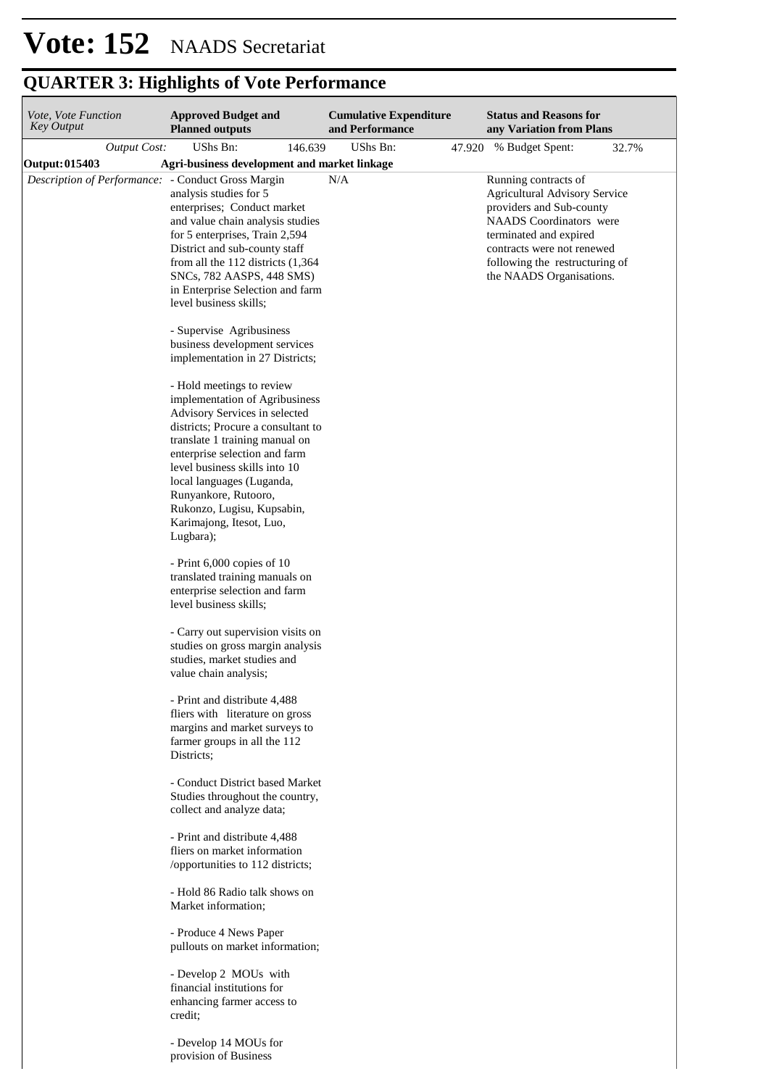| Vote, Vote Function<br>Key Output |              | <b>Approved Budget and</b><br><b>Planned outputs</b>                                                                                                                                                                                                                                                                                                                                                                                                                                                                                                                                                                                                                                                                                                                                                                |         |     | <b>Cumulative Expenditure</b><br>and Performance |        | <b>Status and Reasons for</b><br>any Variation from Plans                                                                                                                                                                                 |       |
|-----------------------------------|--------------|---------------------------------------------------------------------------------------------------------------------------------------------------------------------------------------------------------------------------------------------------------------------------------------------------------------------------------------------------------------------------------------------------------------------------------------------------------------------------------------------------------------------------------------------------------------------------------------------------------------------------------------------------------------------------------------------------------------------------------------------------------------------------------------------------------------------|---------|-----|--------------------------------------------------|--------|-------------------------------------------------------------------------------------------------------------------------------------------------------------------------------------------------------------------------------------------|-------|
|                                   | Output Cost: | UShs Bn:                                                                                                                                                                                                                                                                                                                                                                                                                                                                                                                                                                                                                                                                                                                                                                                                            | 146.639 |     | UShs Bn:                                         | 47.920 | % Budget Spent:                                                                                                                                                                                                                           | 32.7% |
| Output: 015403                    |              | Agri-business development and market linkage                                                                                                                                                                                                                                                                                                                                                                                                                                                                                                                                                                                                                                                                                                                                                                        |         |     |                                                  |        |                                                                                                                                                                                                                                           |       |
|                                   |              | Description of Performance: - Conduct Gross Margin<br>analysis studies for 5<br>enterprises; Conduct market<br>and value chain analysis studies<br>for 5 enterprises, Train 2,594<br>District and sub-county staff<br>from all the $112$ districts $(1,364)$<br>SNCs, 782 AASPS, 448 SMS)<br>in Enterprise Selection and farm<br>level business skills;<br>- Supervise Agribusiness<br>business development services                                                                                                                                                                                                                                                                                                                                                                                                |         | N/A |                                                  |        | Running contracts of<br><b>Agricultural Advisory Service</b><br>providers and Sub-county<br>NAADS Coordinators were<br>terminated and expired<br>contracts were not renewed<br>following the restructuring of<br>the NAADS Organisations. |       |
|                                   |              | implementation in 27 Districts;<br>- Hold meetings to review<br>implementation of Agribusiness<br>Advisory Services in selected<br>districts; Procure a consultant to<br>translate 1 training manual on<br>enterprise selection and farm<br>level business skills into 10<br>local languages (Luganda,<br>Runyankore, Rutooro,<br>Rukonzo, Lugisu, Kupsabin,<br>Karimajong, Itesot, Luo,<br>Lugbara);<br>- Print 6,000 copies of 10<br>translated training manuals on<br>enterprise selection and farm<br>level business skills;<br>- Carry out supervision visits on<br>studies on gross margin analysis<br>studies, market studies and<br>value chain analysis;<br>- Print and distribute 4,488<br>fliers with literature on gross<br>margins and market surveys to<br>farmer groups in all the 112<br>Districts; |         |     |                                                  |        |                                                                                                                                                                                                                                           |       |
|                                   |              | - Conduct District based Market<br>Studies throughout the country,<br>collect and analyze data;<br>- Print and distribute 4,488<br>fliers on market information<br>/opportunities to 112 districts;<br>- Hold 86 Radio talk shows on<br>Market information;<br>- Produce 4 News Paper<br>pullouts on market information;<br>- Develop 2 MOUs with<br>financial institutions for<br>enhancing farmer access to<br>credit;                                                                                                                                                                                                                                                                                                                                                                                            |         |     |                                                  |        |                                                                                                                                                                                                                                           |       |
|                                   |              | . Develop $14$ MOHs for                                                                                                                                                                                                                                                                                                                                                                                                                                                                                                                                                                                                                                                                                                                                                                                             |         |     |                                                  |        |                                                                                                                                                                                                                                           |       |

- Develop 14 MOUs for provision of Business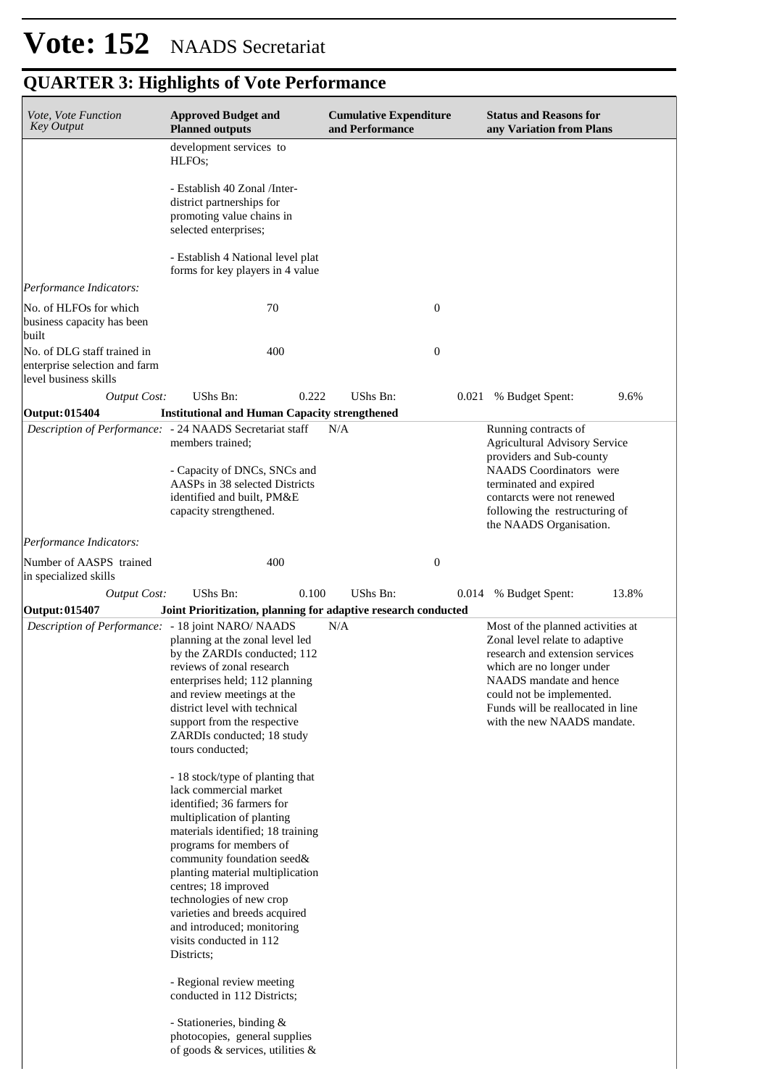| Vote, Vote Function<br><b>Key Output</b>                                              | <b>Approved Budget and</b><br><b>Planned outputs</b>                                                                                                                                                                                                                                                                                                                                                                                                                                                                                                                                     | <b>Cumulative Expenditure</b><br>and Performance |       | <b>Status and Reasons for</b><br>any Variation from Plans                                                                                                                                                                                                       |       |
|---------------------------------------------------------------------------------------|------------------------------------------------------------------------------------------------------------------------------------------------------------------------------------------------------------------------------------------------------------------------------------------------------------------------------------------------------------------------------------------------------------------------------------------------------------------------------------------------------------------------------------------------------------------------------------------|--------------------------------------------------|-------|-----------------------------------------------------------------------------------------------------------------------------------------------------------------------------------------------------------------------------------------------------------------|-------|
|                                                                                       | development services to<br>HLFO <sub>s</sub> ;                                                                                                                                                                                                                                                                                                                                                                                                                                                                                                                                           |                                                  |       |                                                                                                                                                                                                                                                                 |       |
|                                                                                       | - Establish 40 Zonal /Inter-<br>district partnerships for<br>promoting value chains in<br>selected enterprises;                                                                                                                                                                                                                                                                                                                                                                                                                                                                          |                                                  |       |                                                                                                                                                                                                                                                                 |       |
|                                                                                       | - Establish 4 National level plat<br>forms for key players in 4 value                                                                                                                                                                                                                                                                                                                                                                                                                                                                                                                    |                                                  |       |                                                                                                                                                                                                                                                                 |       |
| Performance Indicators:                                                               |                                                                                                                                                                                                                                                                                                                                                                                                                                                                                                                                                                                          |                                                  |       |                                                                                                                                                                                                                                                                 |       |
| No. of HLFOs for which<br>business capacity has been<br>built                         | 70                                                                                                                                                                                                                                                                                                                                                                                                                                                                                                                                                                                       | $\boldsymbol{0}$                                 |       |                                                                                                                                                                                                                                                                 |       |
| No. of DLG staff trained in<br>enterprise selection and farm<br>level business skills | 400                                                                                                                                                                                                                                                                                                                                                                                                                                                                                                                                                                                      | $\boldsymbol{0}$                                 |       |                                                                                                                                                                                                                                                                 |       |
| <b>Output Cost:</b>                                                                   | UShs Bn:<br>0.222                                                                                                                                                                                                                                                                                                                                                                                                                                                                                                                                                                        | UShs Bn:                                         | 0.021 | % Budget Spent:                                                                                                                                                                                                                                                 | 9.6%  |
| <b>Output:015404</b>                                                                  | <b>Institutional and Human Capacity strengthened</b>                                                                                                                                                                                                                                                                                                                                                                                                                                                                                                                                     |                                                  |       |                                                                                                                                                                                                                                                                 |       |
|                                                                                       | Description of Performance: - 24 NAADS Secretariat staff<br>members trained:<br>- Capacity of DNCs, SNCs and<br>AASPs in 38 selected Districts<br>identified and built, PM&E<br>capacity strengthened.                                                                                                                                                                                                                                                                                                                                                                                   | N/A                                              |       | Running contracts of<br><b>Agricultural Advisory Service</b><br>providers and Sub-county<br><b>NAADS</b> Coordinators were<br>terminated and expired<br>contarcts were not renewed<br>following the restructuring of<br>the NAADS Organisation.                 |       |
| Performance Indicators:                                                               |                                                                                                                                                                                                                                                                                                                                                                                                                                                                                                                                                                                          |                                                  |       |                                                                                                                                                                                                                                                                 |       |
| Number of AASPS trained<br>in specialized skills                                      | 400                                                                                                                                                                                                                                                                                                                                                                                                                                                                                                                                                                                      | $\boldsymbol{0}$                                 |       |                                                                                                                                                                                                                                                                 |       |
| <b>Output Cost:</b>                                                                   | UShs Bn:<br>0.100                                                                                                                                                                                                                                                                                                                                                                                                                                                                                                                                                                        | UShs Bn:                                         | 0.014 | % Budget Spent:                                                                                                                                                                                                                                                 | 13.8% |
| Output: 015407                                                                        | Joint Prioritization, planning for adaptive research conducted                                                                                                                                                                                                                                                                                                                                                                                                                                                                                                                           |                                                  |       |                                                                                                                                                                                                                                                                 |       |
| Description of Performance: - 18 joint NARO/ NAADS                                    | planning at the zonal level led<br>by the ZARDIs conducted; 112<br>reviews of zonal research<br>enterprises held; 112 planning<br>and review meetings at the<br>district level with technical<br>support from the respective<br>ZARDIs conducted; 18 study<br>tours conducted;                                                                                                                                                                                                                                                                                                           | N/A                                              |       | Most of the planned activities at<br>Zonal level relate to adaptive<br>research and extension services<br>which are no longer under<br>NAADS mandate and hence<br>could not be implemented.<br>Funds will be reallocated in line<br>with the new NAADS mandate. |       |
|                                                                                       | - 18 stock/type of planting that<br>lack commercial market<br>identified: 36 farmers for<br>multiplication of planting<br>materials identified; 18 training<br>programs for members of<br>community foundation seed&<br>planting material multiplication<br>centres; 18 improved<br>technologies of new crop<br>varieties and breeds acquired<br>and introduced; monitoring<br>visits conducted in 112<br>Districts;<br>- Regional review meeting<br>conducted in 112 Districts;<br>- Stationeries, binding &<br>photocopies, general supplies<br>of goods $\&$ services, utilities $\&$ |                                                  |       |                                                                                                                                                                                                                                                                 |       |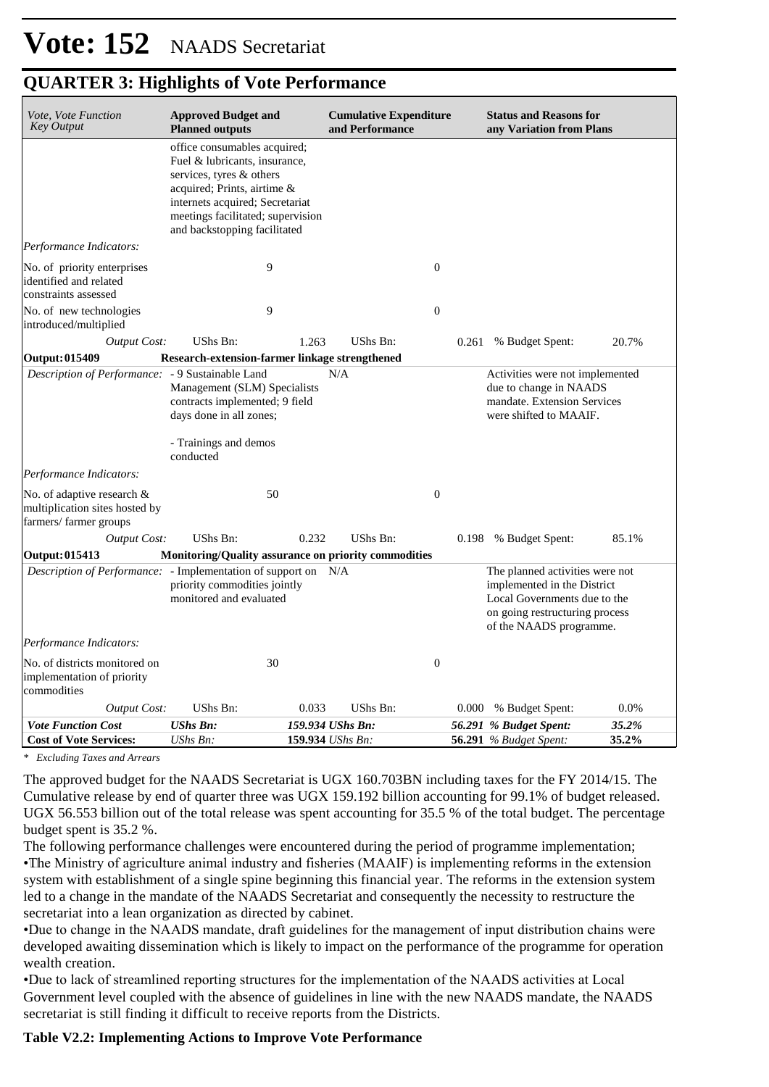| Vote, Vote Function<br><b>Key Output</b>                                                  | <b>Approved Budget and</b><br><b>Planned outputs</b>                                                                                                                                                                             |                                      | <b>Cumulative Expenditure</b><br>and Performance |                  | <b>Status and Reasons for</b><br>any Variation from Plans                                                                                                   |                |
|-------------------------------------------------------------------------------------------|----------------------------------------------------------------------------------------------------------------------------------------------------------------------------------------------------------------------------------|--------------------------------------|--------------------------------------------------|------------------|-------------------------------------------------------------------------------------------------------------------------------------------------------------|----------------|
|                                                                                           | office consumables acquired;<br>Fuel & lubricants, insurance,<br>services, tyres & others<br>acquired; Prints, airtime &<br>internets acquired; Secretariat<br>meetings facilitated; supervision<br>and backstopping facilitated |                                      |                                                  |                  |                                                                                                                                                             |                |
| Performance Indicators:                                                                   |                                                                                                                                                                                                                                  |                                      |                                                  |                  |                                                                                                                                                             |                |
| No. of priority enterprises<br>identified and related<br>constraints assessed             | 9                                                                                                                                                                                                                                |                                      |                                                  | $\boldsymbol{0}$ |                                                                                                                                                             |                |
| No. of new technologies<br>introduced/multiplied                                          | 9                                                                                                                                                                                                                                |                                      |                                                  | $\boldsymbol{0}$ |                                                                                                                                                             |                |
| <b>Output Cost:</b><br><b>Output: 015409</b>                                              | <b>UShs Bn:</b><br>Research-extension-farmer linkage strengthened                                                                                                                                                                | 1.263                                | UShs Bn:                                         | 0.261            | % Budget Spent:                                                                                                                                             | 20.7%          |
| <i>Description of Performance:</i> - 9 Sustainable Land                                   | Management (SLM) Specialists<br>contracts implemented; 9 field<br>days done in all zones;<br>- Trainings and demos<br>conducted                                                                                                  | N/A                                  |                                                  |                  | Activities were not implemented<br>due to change in NAADS<br>mandate. Extension Services<br>were shifted to MAAIF.                                          |                |
| Performance Indicators:                                                                   |                                                                                                                                                                                                                                  |                                      |                                                  |                  |                                                                                                                                                             |                |
| No. of adaptive research &<br>multiplication sites hosted by<br>farmers/farmer groups     | 50                                                                                                                                                                                                                               |                                      |                                                  | $\boldsymbol{0}$ |                                                                                                                                                             |                |
| <b>Output Cost:</b>                                                                       | UShs Bn:                                                                                                                                                                                                                         | 0.232                                | UShs Bn:                                         |                  | 0.198 % Budget Spent:                                                                                                                                       | 85.1%          |
| Output: 015413                                                                            | Monitoring/Quality assurance on priority commodities                                                                                                                                                                             |                                      |                                                  |                  |                                                                                                                                                             |                |
| Description of Performance: - Implementation of support on N/A<br>Performance Indicators: | priority commodities jointly<br>monitored and evaluated                                                                                                                                                                          |                                      |                                                  |                  | The planned activities were not<br>implemented in the District<br>Local Governments due to the<br>on going restructuring process<br>of the NAADS programme. |                |
|                                                                                           |                                                                                                                                                                                                                                  |                                      |                                                  |                  |                                                                                                                                                             |                |
| No. of districts monitored on<br>implementation of priority<br>commodities                | 30                                                                                                                                                                                                                               |                                      |                                                  | $\boldsymbol{0}$ |                                                                                                                                                             |                |
| <b>Output Cost:</b>                                                                       | UShs Bn:                                                                                                                                                                                                                         | 0.033                                | UShs Bn:                                         |                  | 0.000 % Budget Spent:                                                                                                                                       | 0.0%           |
| <b>Vote Function Cost</b><br><b>Cost of Vote Services:</b>                                | <b>UShs Bn:</b><br>UShs Bn:                                                                                                                                                                                                      | 159.934 UShs Bn:<br>159.934 UShs Bn: |                                                  |                  | 56.291 % Budget Spent:<br>56.291 % Budget Spent:                                                                                                            | 35.2%<br>35.2% |

*\* Excluding Taxes and Arrears*

The approved budget for the NAADS Secretariat is UGX 160.703BN including taxes for the FY 2014/15. The Cumulative release by end of quarter three was UGX 159.192 billion accounting for 99.1% of budget released. UGX 56.553 billion out of the total release was spent accounting for 35.5 % of the total budget. The percentage budget spent is 35.2 %.

The following performance challenges were encountered during the period of programme implementation; • The Ministry of agriculture animal industry and fisheries (MAAIF) is implementing reforms in the extension system with establishment of a single spine beginning this financial year. The reforms in the extension system led to a change in the mandate of the NAADS Secretariat and consequently the necessity to restructure the secretariat into a lean organization as directed by cabinet.

• Due to change in the NAADS mandate, draft guidelines for the management of input distribution chains were developed awaiting dissemination which is likely to impact on the performance of the programme for operation wealth creation.

• Due to lack of streamlined reporting structures for the implementation of the NAADS activities at Local Government level coupled with the absence of guidelines in line with the new NAADS mandate, the NAADS secretariat is still finding it difficult to receive reports from the Districts.

#### **Table V2.2: Implementing Actions to Improve Vote Performance**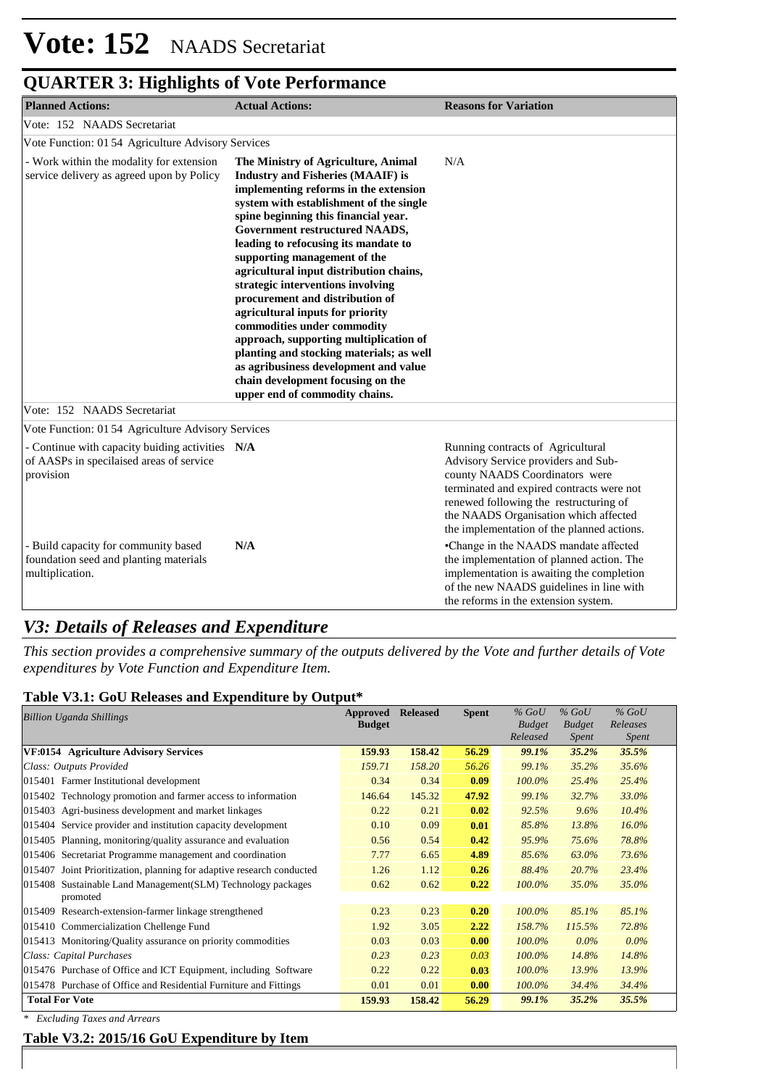| <b>Planned Actions:</b>                                                                                  | <b>Actual Actions:</b>                                                                                                                                                                                                                                                                                                                                                                                                                                                                                                                                                                                                                                                                                            | <b>Reasons for Variation</b>                                                                                                                                                                                                                                                             |
|----------------------------------------------------------------------------------------------------------|-------------------------------------------------------------------------------------------------------------------------------------------------------------------------------------------------------------------------------------------------------------------------------------------------------------------------------------------------------------------------------------------------------------------------------------------------------------------------------------------------------------------------------------------------------------------------------------------------------------------------------------------------------------------------------------------------------------------|------------------------------------------------------------------------------------------------------------------------------------------------------------------------------------------------------------------------------------------------------------------------------------------|
| Vote: 152 NAADS Secretariat                                                                              |                                                                                                                                                                                                                                                                                                                                                                                                                                                                                                                                                                                                                                                                                                                   |                                                                                                                                                                                                                                                                                          |
| Vote Function: 01 54 Agriculture Advisory Services                                                       |                                                                                                                                                                                                                                                                                                                                                                                                                                                                                                                                                                                                                                                                                                                   |                                                                                                                                                                                                                                                                                          |
| - Work within the modality for extension<br>service delivery as agreed upon by Policy                    | The Ministry of Agriculture, Animal<br><b>Industry and Fisheries (MAAIF) is</b><br>implementing reforms in the extension<br>system with establishment of the single<br>spine beginning this financial year.<br>Government restructured NAADS,<br>leading to refocusing its mandate to<br>supporting management of the<br>agricultural input distribution chains,<br>strategic interventions involving<br>procurement and distribution of<br>agricultural inputs for priority<br>commodities under commodity<br>approach, supporting multiplication of<br>planting and stocking materials; as well<br>as agribusiness development and value<br>chain development focusing on the<br>upper end of commodity chains. | N/A                                                                                                                                                                                                                                                                                      |
| Vote: 152 NAADS Secretariat                                                                              |                                                                                                                                                                                                                                                                                                                                                                                                                                                                                                                                                                                                                                                                                                                   |                                                                                                                                                                                                                                                                                          |
| Vote Function: 01 54 Agriculture Advisory Services                                                       |                                                                                                                                                                                                                                                                                                                                                                                                                                                                                                                                                                                                                                                                                                                   |                                                                                                                                                                                                                                                                                          |
| - Continue with capacity buiding activities N/A<br>of AASPs in specilaised areas of service<br>provision |                                                                                                                                                                                                                                                                                                                                                                                                                                                                                                                                                                                                                                                                                                                   | Running contracts of Agricultural<br>Advisory Service providers and Sub-<br>county NAADS Coordinators were<br>terminated and expired contracts were not<br>renewed following the restructuring of<br>the NAADS Organisation which affected<br>the implementation of the planned actions. |
| - Build capacity for community based<br>foundation seed and planting materials<br>multiplication.        | N/A                                                                                                                                                                                                                                                                                                                                                                                                                                                                                                                                                                                                                                                                                                               | •Change in the NAADS mandate affected<br>the implementation of planned action. The<br>implementation is awaiting the completion<br>of the new NAADS guidelines in line with<br>the reforms in the extension system.                                                                      |

### *V3: Details of Releases and Expenditure*

*This section provides a comprehensive summary of the outputs delivered by the Vote and further details of Vote expenditures by Vote Function and Expenditure Item.*

| Table V3.1: GoU Releases and Expenditure by Output* |
|-----------------------------------------------------|
|-----------------------------------------------------|

| <b>Billion Uganda Shillings</b>                                             | Approved<br><b>Budget</b> | <b>Released</b> | <b>Spent</b> | $%$ GoU<br><b>Budget</b><br>Released | $%$ GoU<br><b>Budget</b><br><i>Spent</i> | $%$ GoU<br>Releases<br><i>Spent</i> |
|-----------------------------------------------------------------------------|---------------------------|-----------------|--------------|--------------------------------------|------------------------------------------|-------------------------------------|
| VF:0154 Agriculture Advisory Services                                       | 159.93                    | 158.42          | 56.29        | 99.1%                                | 35.2%                                    | 35.5%                               |
| Class: Outputs Provided                                                     | 159.71                    | 158.20          | 56.26        | 99.1%                                | 35.2%                                    | 35.6%                               |
| 015401 Farmer Institutional development                                     | 0.34                      | 0.34            | 0.09         | 100.0%                               | 25.4%                                    | 25.4%                               |
| 015402 Technology promotion and farmer access to information                | 146.64                    | 145.32          | 47.92        | 99.1%                                | 32.7%                                    | 33.0%                               |
| 015403 Agri-business development and market linkages                        | 0.22                      | 0.21            | 0.02         | 92.5%                                | 9.6%                                     | 10.4%                               |
| 015404 Service provider and institution capacity development                | 0.10                      | 0.09            | 0.01         | 85.8%                                | 13.8%                                    | 16.0%                               |
| 015405 Planning, monitoring/quality assurance and evaluation                | 0.56                      | 0.54            | 0.42         | 95.9%                                | 75.6%                                    | 78.8%                               |
| 015406 Secretariat Programme management and coordination                    | 7.77                      | 6.65            | 4.89         | 85.6%                                | 63.0%                                    | 73.6%                               |
| Joint Prioritization, planning for adaptive research conducted<br>015407    | 1.26                      | 1.12            | 0.26         | 88.4%                                | 20.7%                                    | 23.4%                               |
| Sustainable Land Management (SLM) Technology packages<br>015408<br>promoted | 0.62                      | 0.62            | 0.22         | 100.0%                               | 35.0%                                    | 35.0%                               |
| Research-extension-farmer linkage strengthened<br>015409                    | 0.23                      | 0.23            | 0.20         | 100.0%                               | 85.1%                                    | 85.1%                               |
| 015410 Commercialization Chellenge Fund                                     | 1.92                      | 3.05            | 2.22         | 158.7%                               | 115.5%                                   | 72.8%                               |
| 015413 Monitoring/Quality assurance on priority commodities                 | 0.03                      | 0.03            | 0.00         | 100.0%                               | $0.0\%$                                  | $0.0\%$                             |
| Class: Capital Purchases                                                    | 0.23                      | 0.23            | 0.03         | $100.0\%$                            | 14.8%                                    | 14.8%                               |
| 015476 Purchase of Office and ICT Equipment, including Software             | 0.22                      | 0.22            | 0.03         | 100.0%                               | 13.9%                                    | 13.9%                               |
| 015478 Purchase of Office and Residential Furniture and Fittings            | 0.01                      | 0.01            | 0.00         | 100.0%                               | 34.4%                                    | 34.4%                               |
| <b>Total For Vote</b>                                                       | 159.93                    | 158.42          | 56.29        | 99.1%                                | 35.2%                                    | 35.5%                               |

*\* Excluding Taxes and Arrears*

**Table V3.2: 2015/16 GoU Expenditure by Item**